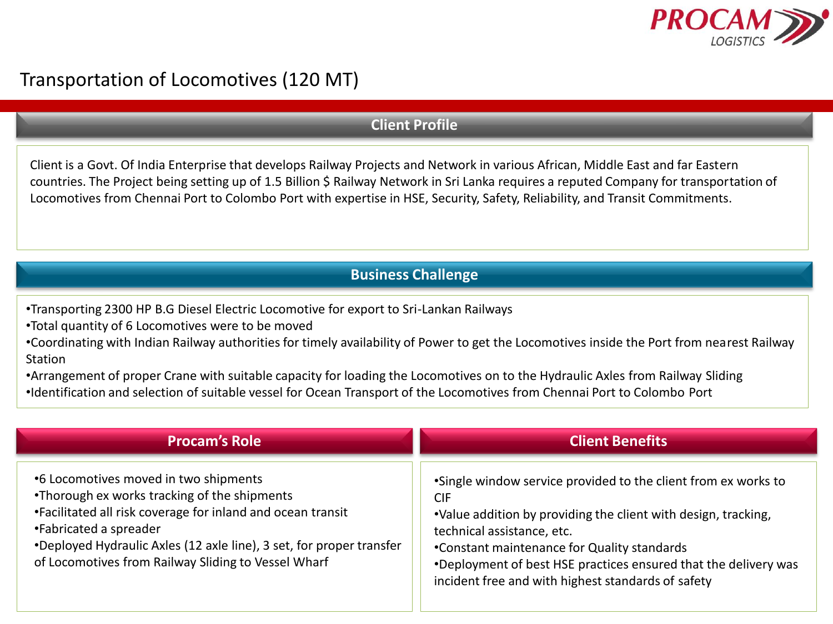

## Transportation of Locomotives (120 MT)

## **Client Profile**

Client is a Govt. Of India Enterprise that develops Railway Projects and Network in various African, Middle East and far Eastern countries. The Project being setting up of 1.5 Billion \$ Railway Network in Sri Lanka requires a reputed Company for transportation of Locomotives from Chennai Port to Colombo Port with expertise in HSE, Security, Safety, Reliability, and Transit Commitments.

## **Business Challenge**

•Transporting 2300 HP B.G Diesel Electric Locomotive for export to Sri-Lankan Railways

•Total quantity of 6 Locomotives were to be moved

•Coordinating with Indian Railway authorities for timely availability of Power to get the Locomotives inside the Port from nearest Railway Station

•Arrangement of proper Crane with suitable capacity for loading the Locomotives on to the Hydraulic Axles from Railway Sliding •Identification and selection of suitable vessel for Ocean Transport of the Locomotives from Chennai Port to Colombo Port

| <b>Procam's Role</b>                                                                                                                                                                                                                                                                                          | <b>Client Benefits</b>                                                                                                                                                                                                                                                                                                                               |
|---------------------------------------------------------------------------------------------------------------------------------------------------------------------------------------------------------------------------------------------------------------------------------------------------------------|------------------------------------------------------------------------------------------------------------------------------------------------------------------------------------------------------------------------------------------------------------------------------------------------------------------------------------------------------|
| •6 Locomotives moved in two shipments<br>•Thorough ex works tracking of the shipments<br>•Facilitated all risk coverage for inland and ocean transit<br>•Fabricated a spreader<br>*Deployed Hydraulic Axles (12 axle line), 3 set, for proper transfer<br>of Locomotives from Railway Sliding to Vessel Wharf | •Single window service provided to the client from ex works to<br><b>CIF</b><br>.Value addition by providing the client with design, tracking,<br>technical assistance, etc.<br>•Constant maintenance for Quality standards<br>•Deployment of best HSE practices ensured that the delivery was<br>incident free and with highest standards of safety |